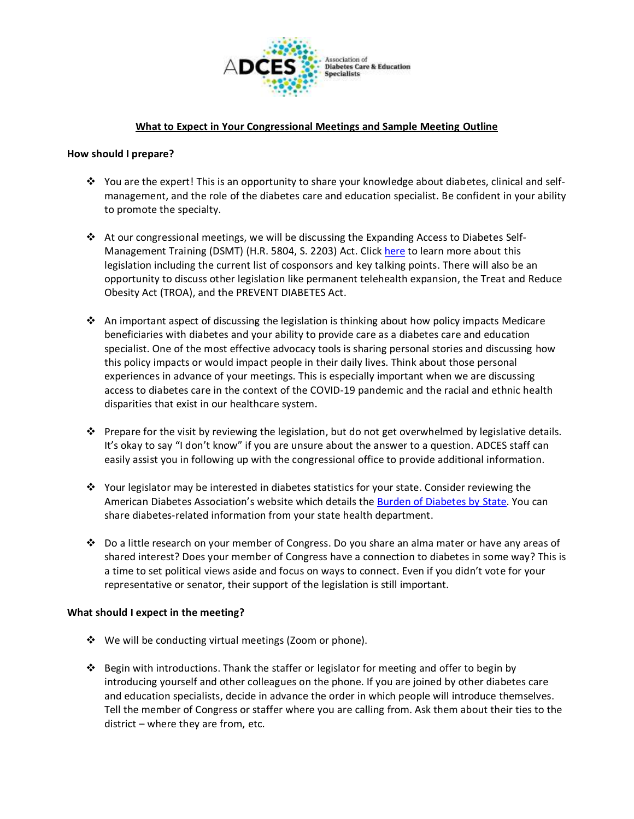

## **What to Expect in Your Congressional Meetings and Sample Meeting Outline**

#### **How should I prepare?**

- ❖ You are the expert! This is an opportunity to share your knowledge about diabetes, clinical and selfmanagement, and the role of the diabetes care and education specialist. Be confident in your ability to promote the specialty.
- ❖ At our congressional meetings, we will be discussing the Expanding Access to Diabetes Self-Management Training (DSMT) (H.R. 5804, S. 2203) Act. Click [here](https://www.diabeteseducator.org/advocacy/the-expanding-access-to-dsmt-act) to learn more about this legislation including the current list of cosponsors and key talking points. There will also be an opportunity to discuss other legislation like permanent telehealth expansion, the Treat and Reduce Obesity Act (TROA), and the PREVENT DIABETES Act.
- ❖ An important aspect of discussing the legislation is thinking about how policy impacts Medicare beneficiaries with diabetes and your ability to provide care as a diabetes care and education specialist. One of the most effective advocacy tools is sharing personal stories and discussing how this policy impacts or would impact people in their daily lives. Think about those personal experiences in advance of your meetings. This is especially important when we are discussing access to diabetes care in the context of the COVID-19 pandemic and the racial and ethnic health disparities that exist in our healthcare system.
- ❖ Prepare for the visit by reviewing the legislation, but do not get overwhelmed by legislative details. It's okay to say "I don't know" if you are unsure about the answer to a question. ADCES staff can easily assist you in following up with the congressional office to provide additional information.
- ❖ Your legislator may be interested in diabetes statistics for your state. Consider reviewing the American Diabetes Association's website which details the [Burden of Diabetes by State.](http://main.diabetes.org/dorg/PDFs/Advocacy/burden-of-diabetes/all-states.pdf) You can share diabetes-related information from your state health department.
- ❖ Do a little research on your member of Congress. Do you share an alma mater or have any areas of shared interest? Does your member of Congress have a connection to diabetes in some way? This is a time to set political views aside and focus on ways to connect. Even if you didn't vote for your representative or senator, their support of the legislation is still important.

#### **What should I expect in the meeting?**

- ❖ We will be conducting virtual meetings (Zoom or phone).
- ❖ Begin with introductions. Thank the staffer or legislator for meeting and offer to begin by introducing yourself and other colleagues on the phone. If you are joined by other diabetes care and education specialists, decide in advance the order in which people will introduce themselves. Tell the member of Congress or staffer where you are calling from. Ask them about their ties to the district – where they are from, etc.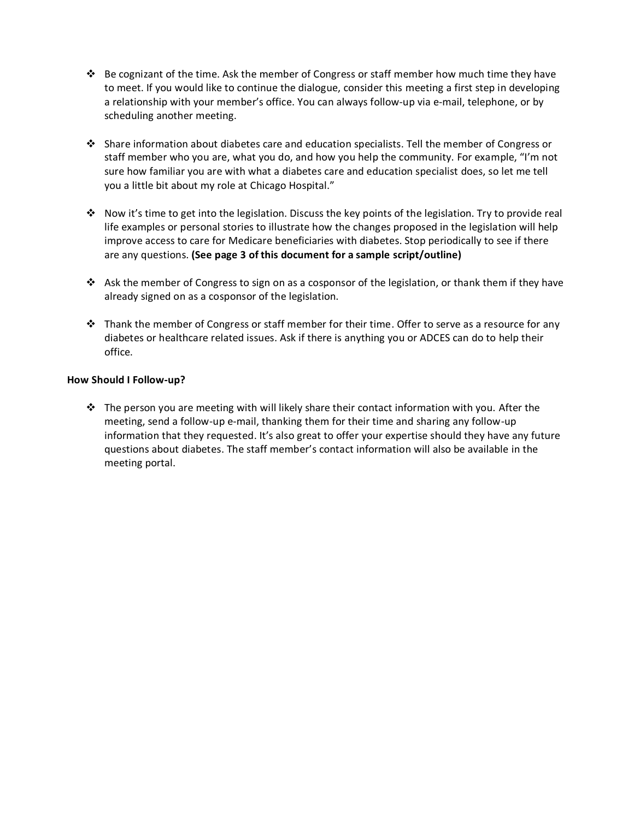- $♦$  Be cognizant of the time. Ask the member of Congress or staff member how much time they have to meet. If you would like to continue the dialogue, consider this meeting a first step in developing a relationship with your member's office. You can always follow-up via e-mail, telephone, or by scheduling another meeting.
- ❖ Share information about diabetes care and education specialists. Tell the member of Congress or staff member who you are, what you do, and how you help the community. For example, "I'm not sure how familiar you are with what a diabetes care and education specialist does, so let me tell you a little bit about my role at Chicago Hospital."
- ❖ Now it's time to get into the legislation. Discuss the key points of the legislation. Try to provide real life examples or personal stories to illustrate how the changes proposed in the legislation will help improve access to care for Medicare beneficiaries with diabetes. Stop periodically to see if there are any questions. **(See page 3 of this document for a sample script/outline)**
- ◆ Ask the member of Congress to sign on as a cosponsor of the legislation, or thank them if they have already signed on as a cosponsor of the legislation.
- $\dots$  Thank the member of Congress or staff member for their time. Offer to serve as a resource for any diabetes or healthcare related issues. Ask if there is anything you or ADCES can do to help their office.

#### **How Should I Follow-up?**

❖ The person you are meeting with will likely share their contact information with you. After the meeting, send a follow-up e-mail, thanking them for their time and sharing any follow-up information that they requested. It's also great to offer your expertise should they have any future questions about diabetes. The staff member's contact information will also be available in the meeting portal.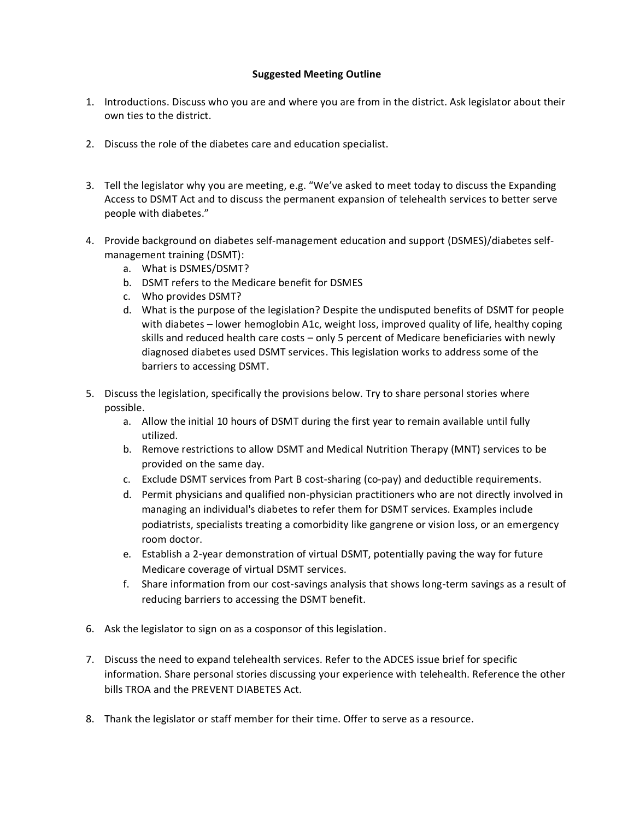### **Suggested Meeting Outline**

- 1. Introductions. Discuss who you are and where you are from in the district. Ask legislator about their own ties to the district.
- 2. Discuss the role of the diabetes care and education specialist.
- 3. Tell the legislator why you are meeting, e.g. "We've asked to meet today to discuss the Expanding Access to DSMT Act and to discuss the permanent expansion of telehealth services to better serve people with diabetes."
- 4. Provide background on diabetes self-management education and support (DSMES)/diabetes selfmanagement training (DSMT):
	- a. What is DSMES/DSMT?
	- b. DSMT refers to the Medicare benefit for DSMES
	- c. Who provides DSMT?
	- d. What is the purpose of the legislation? Despite the undisputed benefits of DSMT for people with diabetes – lower hemoglobin A1c, weight loss, improved quality of life, healthy coping skills and reduced health care costs – only 5 percent of Medicare beneficiaries with newly diagnosed diabetes used DSMT services. This legislation works to address some of the barriers to accessing DSMT.
- 5. Discuss the legislation, specifically the provisions below. Try to share personal stories where possible.
	- a. Allow the initial 10 hours of DSMT during the first year to remain available until fully utilized.
	- b. Remove restrictions to allow DSMT and Medical Nutrition Therapy (MNT) services to be provided on the same day.
	- c. Exclude DSMT services from Part B cost-sharing (co-pay) and deductible requirements.
	- d. Permit physicians and qualified non-physician practitioners who are not directly involved in managing an individual's diabetes to refer them for DSMT services. Examples include podiatrists, specialists treating a comorbidity like gangrene or vision loss, or an emergency room doctor.
	- e. Establish a 2-year demonstration of virtual DSMT, potentially paving the way for future Medicare coverage of virtual DSMT services.
	- f. Share information from our cost-savings analysis that shows long-term savings as a result of reducing barriers to accessing the DSMT benefit.
- 6. Ask the legislator to sign on as a cosponsor of this legislation.
- 7. Discuss the need to expand telehealth services. Refer to the ADCES issue brief for specific information. Share personal stories discussing your experience with telehealth. Reference the other bills TROA and the PREVENT DIABETES Act.
- 8. Thank the legislator or staff member for their time. Offer to serve as a resource.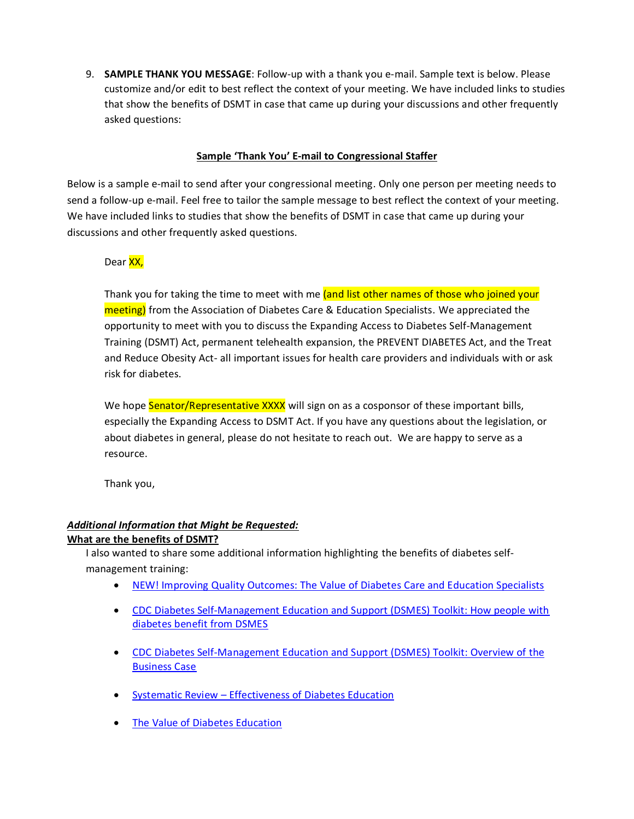9. **SAMPLE THANK YOU MESSAGE**: Follow-up with a thank you e-mail. Sample text is below. Please customize and/or edit to best reflect the context of your meeting. We have included links to studies that show the benefits of DSMT in case that came up during your discussions and other frequently asked questions:

## **Sample 'Thank You' E-mail to Congressional Staffer**

Below is a sample e-mail to send after your congressional meeting. Only one person per meeting needs to send a follow-up e-mail. Feel free to tailor the sample message to best reflect the context of your meeting. We have included links to studies that show the benefits of DSMT in case that came up during your discussions and other frequently asked questions.

#### Dear XX,

Thank you for taking the time to meet with me (and list other names of those who joined your meeting) from the Association of Diabetes Care & Education Specialists. We appreciated the opportunity to meet with you to discuss the Expanding Access to Diabetes Self-Management Training (DSMT) Act, permanent telehealth expansion, the PREVENT DIABETES Act, and the Treat and Reduce Obesity Act- all important issues for health care providers and individuals with or ask risk for diabetes.

We hope Senator/Representative XXXX will sign on as a cosponsor of these important bills, especially the Expanding Access to DSMT Act. If you have any questions about the legislation, or about diabetes in general, please do not hesitate to reach out. We are happy to serve as a resource.

Thank you,

# *Additional Information that Might be Requested:*

#### **What are the benefits of DSMT?**

I also wanted to share some additional information highlighting the benefits of diabetes selfmanagement training:

- [NEW! Improving Quality Outcomes: The Value of Diabetes Care and Education Specialists](https://diabetesjournals.org/clinical/article/doi/10.2337/cd21-0089/144974/Improving-Quality-Outcomes-The-Value-of-Diabetes)
- [CDC Diabetes Self-Management Education and Support \(DSMES\) Toolkit: How people with](https://nam02.safelinks.protection.outlook.com/?url=https%3A%2F%2Fwww.cdc.gov%2Fdiabetes%2Fdsmes-toolkit%2Fbackground%2Fbenefits.html&data=02%7C01%7Ckthomas%40aadenet.org%7Ca8bcdde7f22041cb6ef908d6be71f75a%7Ca2d231343686485c8aa566290c3311ea%7C0%7C0%7C636905794042839015&sdata=trxLmgvBCU6Cn%2B8bI0PhKeE5k82dS24ls2aVH3%2BZ214%3D&reserved=0)  [diabetes benefit from DSMES](https://nam02.safelinks.protection.outlook.com/?url=https%3A%2F%2Fwww.cdc.gov%2Fdiabetes%2Fdsmes-toolkit%2Fbackground%2Fbenefits.html&data=02%7C01%7Ckthomas%40aadenet.org%7Ca8bcdde7f22041cb6ef908d6be71f75a%7Ca2d231343686485c8aa566290c3311ea%7C0%7C0%7C636905794042839015&sdata=trxLmgvBCU6Cn%2B8bI0PhKeE5k82dS24ls2aVH3%2BZ214%3D&reserved=0)
- [CDC Diabetes Self-Management Education and Support \(DSMES\) Toolkit: Overview of the](https://nam02.safelinks.protection.outlook.com/?url=https%3A%2F%2Fwww.cdc.gov%2Fdiabetes%2Fdsmes-toolkit%2Fbusiness-case%2Foverview.html&data=02%7C01%7Ckthomas%40aadenet.org%7Ca8bcdde7f22041cb6ef908d6be71f75a%7Ca2d231343686485c8aa566290c3311ea%7C0%7C0%7C636905794042849024&sdata=%2FAtECK%2Fe6%2BgZi3uTcCWwFo%2BUv8l5aHR%2FReRlOlcQ9EA%3D&reserved=0)  [Business Case](https://nam02.safelinks.protection.outlook.com/?url=https%3A%2F%2Fwww.cdc.gov%2Fdiabetes%2Fdsmes-toolkit%2Fbusiness-case%2Foverview.html&data=02%7C01%7Ckthomas%40aadenet.org%7Ca8bcdde7f22041cb6ef908d6be71f75a%7Ca2d231343686485c8aa566290c3311ea%7C0%7C0%7C636905794042849024&sdata=%2FAtECK%2Fe6%2BgZi3uTcCWwFo%2BUv8l5aHR%2FReRlOlcQ9EA%3D&reserved=0)
- Systematic Review [Effectiveness of Diabetes Education](https://nam02.safelinks.protection.outlook.com/?url=https%3A%2F%2Fwww.sciencedirect.com%2Fscience%2Farticle%2Fpii%2FS0738399115301166&data=02%7C01%7Ckthomas%40aadenet.org%7Ca8bcdde7f22041cb6ef908d6be71f75a%7Ca2d231343686485c8aa566290c3311ea%7C0%7C0%7C636905794042849024&sdata=gNoUyHocdnLyqcAoO7cr7Zgo28a41P8%2FZ5AwiX8pFxE%3D&reserved=0)
- [The Value of Diabetes Education](https://www.diabeteseducator.org/research/value-of-diabetes-education)